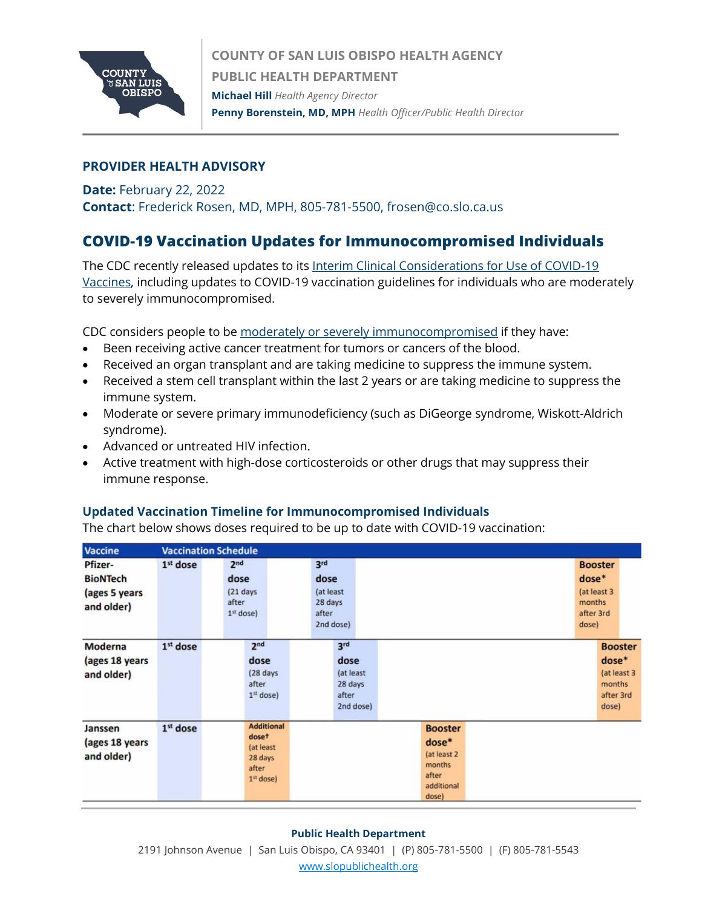

### **PROVIDER HEALTH ADVISORY**

# **Date:** February 22, 2022 **Contact**: Frederick Rosen, MD, MPH, 805-781-5500, frosen@co.slo.ca.us

# **COVID-19 Vaccination Updates for Immunocompromised Individuals**

The CDC recently released updates to its [Interim Clinical Considerations for Use of COVID-19](https://www.cdc.gov/vaccines/covid-19/clinical-considerations/covid-19-vaccines-us.html)  [Vaccines,](https://www.cdc.gov/vaccines/covid-19/clinical-considerations/covid-19-vaccines-us.html) including updates to COVID-19 vaccination guidelines for individuals who are moderately to severely immunocompromised.

CDC considers people to b[e moderately or severely immunocompromised](https://www.cdc.gov/coronavirus/2019-ncov/vaccines/recommendations/immuno.html) if they have:

- Been receiving active cancer treatment for tumors or cancers of the blood.
- Received an organ transplant and are taking medicine to suppress the immune system.
- Received a stem cell transplant within the last 2 years or are taking medicine to suppress the immune system.
- Moderate or severe primary immunodeficiency (such as DiGeorge syndrome, Wiskott-Aldrich syndrome).
- Advanced or untreated HIV infection.
- Active treatment with high-dose corticosteroids or other drugs that may suppress their immune response.

## **Updated Vaccination Timeline for Immunocompromised Individuals**

The chart below shows doses required to be up to date with COVID-19 vaccination:

| <b>Vaccine</b>                          |                      | <b>Vaccination Schedule</b>                                                |                                                    |                                                                                     |  |                 |                                                        |  |
|-----------------------------------------|----------------------|----------------------------------------------------------------------------|----------------------------------------------------|-------------------------------------------------------------------------------------|--|-----------------|--------------------------------------------------------|--|
| Pfizer-                                 | 1 <sup>st</sup> dose | 2 <sub>nd</sub>                                                            | 3rd                                                |                                                                                     |  |                 | <b>Booster</b>                                         |  |
| <b>BioNTech</b>                         |                      | dose                                                                       | dose                                               |                                                                                     |  | $dose*$         |                                                        |  |
| (ages 5 years<br>and older)             |                      | $(21$ days<br>after<br>$1st$ dose)                                         | (at least<br>28 days<br>after<br>2nd dose)         |                                                                                     |  | months<br>dose) | (at least 3<br>after 3rd                               |  |
| Moderna                                 | $1st$ dose           | 2 <sub>nd</sub>                                                            | 3 <sup>rd</sup>                                    |                                                                                     |  |                 | <b>Booster</b>                                         |  |
| (ages 18 years<br>and older)            |                      | dose<br>(28 days<br>after<br>$1st$ dose)                                   | dose<br>(at least<br>28 days<br>after<br>2nd dose) |                                                                                     |  |                 | $dose*$<br>(at least 3<br>months<br>after 3rd<br>dose) |  |
| Janssen<br>(ages 18 years<br>and older) | 1st dose             | <b>Additional</b><br>doset<br>(at least<br>28 days<br>after<br>$1st$ dose) |                                                    | <b>Booster</b><br>$dose*$<br>(at least 2)<br>months<br>after<br>additional<br>dose) |  |                 |                                                        |  |

#### **Public Health Department**

2191 Johnson Avenue | San Luis Obispo, CA 93401 | (P) 805-781-5500 | (F) 805-781-5543 [www.slopublichealth.org](file://///wings/Health%20Agency/PH/HA_Letterhead/HA_Letterhead_Effective%20Jan%202017/www.slopublichealth.org)